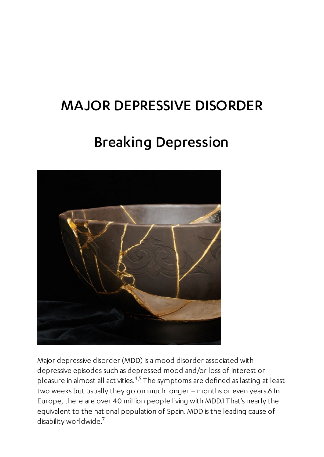### MAJOR DEPRESSIVE DISORDER

# Breaking Depression



Major depressive disorder (MDD) is a mood disorder associated with depressive episodes such as depressed mood and/or loss of interest or pleasure in almost all activities. $4,5$  The symptoms are defined as lasting at least two weeks but usually they go on much longer – months or even years.6 In Europe, there are over 40 million people living with MDD.1 That's nearly the equivalent to the national population of Spain. MDD is the leading cause of disability worldwide. 7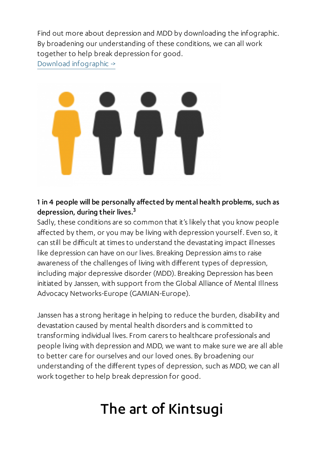Find out more about depression and MDD by downloading the infographic. By broadening our understanding of these conditions, we can all work together to help break depression for good.

Download [infographic](https://www.janssen4patients.com/pliki/6760/download/Breaking%20Depression_Infographic.pdf) ->



1 in 4 people will be personally affected by mental health problems, such as depression, during their lives. $^3$ 

Sadly, these conditions are so common that it's likely that you know people affected by them, or you may be living with depression yourself. Even so, it can still be difficult at times to understand the devastating impact illnesses like depression can have on our lives. Breaking Depression aims to raise awareness of the challenges of living with different types of depression, including major depressive disorder (MDD). Breaking Depression has been initiated by Janssen, with support from the Global Alliance of Mental Illness Advocacy Networks-Europe (GAMIAN-Europe).

Janssen has a strong heritage in helping to reduce the burden, disability and devastation caused by mental health disorders and is committed to transforming individual lives. From carers to healthcare professionals and people living with depression and MDD, we want to make sure we are all able to better care for ourselves and our loved ones. By broadening our understanding of the different types of depression, such as MDD, we can all work together to help break depression for good.

# The art of Kintsugi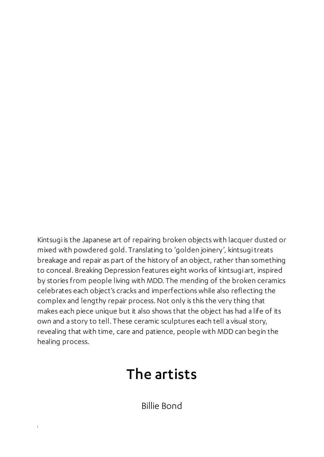Kintsugi is the Japanese art of repairing broken objects with lacquer dusted or mixed with powdered gold. Translating to 'golden joinery', kintsugitreats breakage and repair as part of the history of an object, rather than something to conceal. Breaking Depression features eight works of kintsugi art, inspired by stories from people living with MDD. The mending of the broken ceramics celebrates each object's cracks and imperfections while also reflecting the complex and lengthy repair process.Not only is this the very thing that makes each piece unique but it also shows that the object has had a life of its own and a story to tell. These ceramic sculptures each tell a visual story, revealing that with time, care and patience, people with MDD can begin the healing process.

## The artists

Billie Bond

 $\hat{\mathbf{I}}$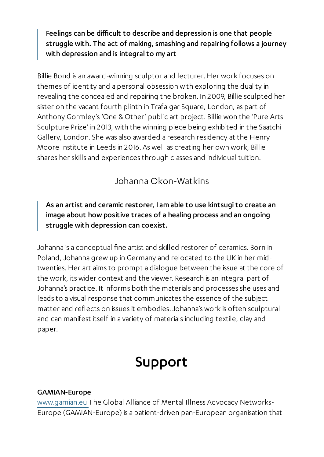Feelings can be difficult to describe and depression is one that people struggle with. The act of making, smashing and repairing follows a journey with depression and is integral to my art

Billie Bond is an award-winning sculptor and lecturer.Her work focuses on themes of identity and a personal obsession with exploring the duality in revealing the concealed and repairing the broken. In 2009, Billie sculpted her sister on the vacant fourth plinth in Trafalgar Square, London, as part of Anthony Gormley's 'One & Other' public art project. Billie won the 'Pure Arts Sculpture Prize' in 2013, with the winning piece being exhibited in the Saatchi Gallery, London. She was also awarded a research residency at the Henry Moore Institute in Leeds in 2016. As well as creating her own work, Billie shares her skills and experiences through classes and individual tuition.

### Johanna Okon-Watkins

#### As an artist and ceramic restorer, I amable to use kintsugito create an image about how positive traces of a healing process and an ongoing struggle with depression can coexist.

Johanna is a conceptual fine artist and skilled restorer of ceramics. Born in Poland, Johanna grew up in Germany and relocated to the UK in her midtwenties.Her art aims to prompt a dialogue between the issue at the core of the work, its wider context and the viewer. Research is an integral part of Johanna's practice. It informs both the materials and processes she uses and leads to a visual response that communicates the essence of the subject matter and reflects on issues it embodies.Johanna's work is often sculptural and can manifest itself in a variety of materials including textile, clay and paper.

### Support

#### GAMIAN-Europe

[www.gamian.eu](http://www.gamian.eu/) The Global Alliance of Mental Illness Advocacy Networks-Europe (GAMIAN-Europe) is a patient-driven pan-European organisation that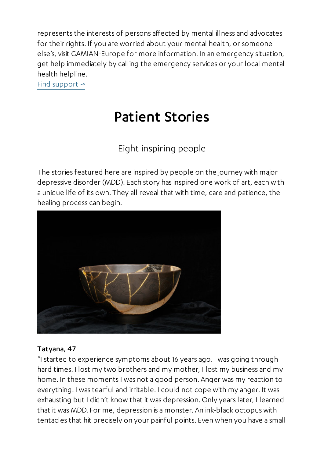represents the interests of persons affected by mental illness and advocates for their rights. If you are worried about your mental health, or someone else's, visit GAMIAN-Europe for more information. In an emergency situation, get help immediately by calling the emergency services or your local mental health helpline.

Find [support](https://www.gamian.eu/wp-content/uploads/GAMIAN-Europe-Mental-Health-Support.pdf) ->

## Patient Stories

### Eight inspiring people

The stories featured here are inspired by people on the journey with major depressive disorder (MDD). Each story has inspired one work of art, each with a unique life of its own. They all reveal that with time, care and patience, the healing process can begin.



#### Tatyana, 47

"I started to experience symptoms about 16 years ago. I was going through hard times. I lost my two brothers and my mother, I lost my business and my home. In these moments I was not a good person. Anger was my reaction to everything. I was tearful and irritable. I could not cope with my anger. It was exhausting but I didn't know that it was depression. Only years later, I learned that it was MDD. For me, depression is a monster. An ink-black octopus with tentacles that hit precisely on your painful points. Even when you have a small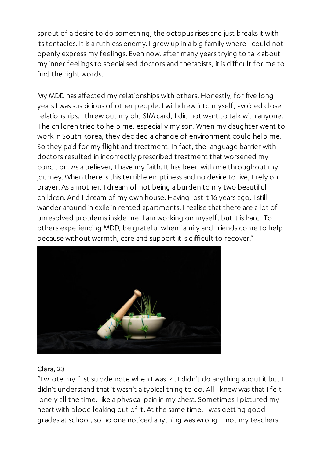sprout of a desire to do something, the octopus rises and just breaks it with its tentacles. It is a ruthless enemy. I grew up in a big family where I could not openly express my feelings. Even now, after many years trying to talk about my inner feelings to specialised doctors and therapists, it is difficult for me to find the right words.

My MDD has affected my relationships with others.Honestly, for five long years I was suspicious of other people. I withdrew into myself, avoided close relationships. I threw out my old SIM card, I did not want to talk with anyone. The children tried to help me, especially my son. When my daughter went to work in South Korea, they decided a change of environment could help me. So they paid for my flight and treatment. In fact, the language barrier with doctors resulted in incorrectly prescribed treatment that worsened my condition. As a believer, I have my faith. It has been with me throughout my journey. When there is this terrible emptiness and no desire to live, I rely on prayer. As a mother, I dream of not being a burden to my two beautiful children. And I dream of my own house.Having lost it 16 years ago, I still wander around in exile in rented apartments. I realise that there are a lot of unresolved problems inside me. I am working on myself, but it is hard. To others experiencing MDD, be grateful when family and friends come to help because without warmth, care and support it is difficult to recover."



#### Clara, 23

"I wrote my first suicide note when I was 14. I didn't do anything about it but I didn't understand that it wasn't a typical thing to do. All I knew was that I felt lonely all the time, like a physical pain in my chest. Sometimes I pictured my heart with blood leaking out of it. At the same time, I was getting good grades at school, so no one noticed anything was wrong – not my teachers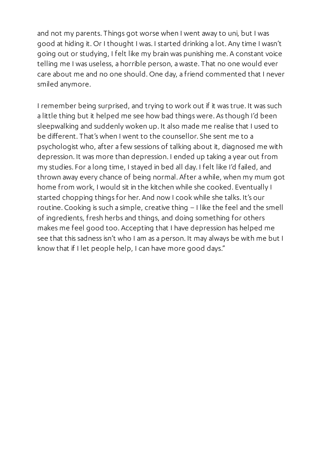and not my parents. Things got worse when I went away to uni, but I was good at hiding it. Or I thought I was. I started drinking a lot. Any time I wasn't going out or studying, I felt like my brain was punishing me. A constant voice telling me I was useless, a horrible person, a waste. That no one would ever care about me and no one should. One day, a friend commented that I never smiled anymore.

I remember being surprised, and trying to work out if it was true. It was such a little thing but it helped me see how bad things were. As though I'd been sleepwalking and suddenly woken up. It also made me realise that I used to be different. That's when I went to the counsellor. She sent me to a psychologist who, after a few sessions of talking about it, diagnosed me with depression. It was more than depression. I ended up taking a year out from my studies. For a long time, I stayed in bed all day. I felt like I'd failed, and thrown away every chance of being normal. After a while, when my mum got home from work, I would sit in the kitchen while she cooked. Eventually I started chopping things for her. And now I cook while she talks. It's our routine. Cooking is such a simple, creative thing – I like the feel and the smell of ingredients, fresh herbs and things, and doing something for others makes me feel good too. Accepting that I have depression has helped me see that this sadness isn't who I am as a person. It may always be with me but I know that if I let people help, I can have more good days."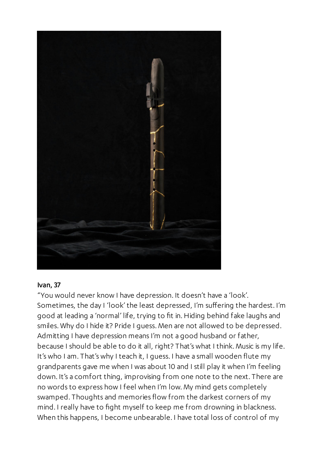

#### Ivan, 37

"You would never know I have depression. It doesn't have a 'look'. Sometimes, the day I 'look' the least depressed, I'm suffering the hardest. I'm good at leading a 'normal' life, trying to fit in. Hiding behind fake laughs and smiles. Why do I hide it? Pride I guess. Men are not allowed to be depressed. Admitting I have depression means I'm not a good husband or father, because I should be able to do it all, right? That's what I think. Music is my life. It's who I am. That's why I teach it, I guess. I have a small wooden flute my grandparents gave me when I was about 10 and I still play it when I'm feeling down. It's a comfort thing, improvising from one note to the next. There are no words to express how I feel when I'm low. My mind gets completely swamped. Thoughts and memories flow from the darkest corners of my mind. I really have to fight myself to keep me from drowning in blackness. When this happens, I become unbearable. I have total loss of control of my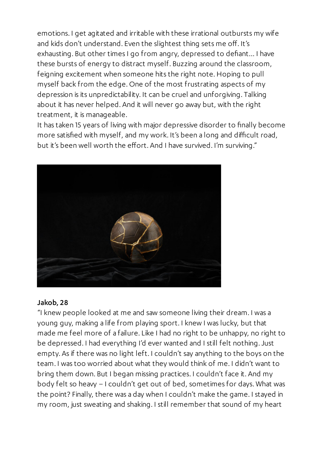emotions. I get agitated and irritable with these irrational outbursts my wife and kids don't understand. Even the slightest thing sets me off. It's exhausting. But other times I go from angry, depressed to defiant… I have these bursts of energy to distract myself. Buzzing around the classroom, feigning excitement when someone hits the right note.Hoping to pull myself back from the edge. One of the most frustrating aspects of my depression is its unpredictability. It can be cruel and unforgiving. Talking about it has never helped. And it will never go away but, with the right treatment, it is manageable.

It has taken 15 years of living with major depressive disorder to finally become more satisfied with myself, and my work. It's been a long and difficult road, but it's been well worth the effort. And I have survived. I'm surviving."



#### Jakob, 28

"I knew people looked at me and saw someone living their dream. I was a young guy, making a life from playing sport. I knew I was lucky, but that made me feel more of a failure. Like I had no right to be unhappy, no right to be depressed. I had everything I'd ever wanted and I still felt nothing.Just empty. As if there was no light left. I couldn't say anything to the boys on the team. I was too worried about what they would think of me. I didn't want to bring them down. But I began missing practices. I couldn't face it. And my body felt so heavy – I couldn't get out of bed, sometimes for days. What was the point? Finally, there was a day when I couldn't make the game. I stayed in my room, just sweating and shaking. I still remember that sound of my heart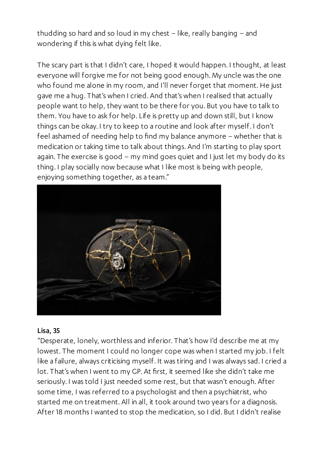thudding so hard and so loud in my chest – like, really banging – and wondering if this is what dying felt like.

The scary part is that I didn't care, I hoped it would happen. I thought, at least everyone will forgive me for not being good enough. My uncle was the one who found me alone in my room, and I'll never forget that moment. He just gave me a hug. That's when I cried. And that's when I realised that actually people want to help, they want to be there for you. But you have to talk to them. You have to ask for help. Life is pretty up and down still, but I know things can be okay. I try to keep to a routine and look after myself. I don't feel ashamed of needing help to find my balance anymore – whether that is medication or taking time to talk about things. And I'm starting to play sport again. The exercise is good – my mind goes quiet and I just let my body do its thing. I play socially now because what I like most is being with people, enjoying something together, as a team."



#### Lisa, 35

"Desperate, lonely, worthless and inferior. That's how I'd describe me at my lowest. The moment I could no longer cope was when I started my job. I felt like a failure, always criticising myself. It was tiring and I was always sad. I cried a lot. That's when I went to my GP. At first, it seemed like she didn't take me seriously. I was told I just needed some rest, but that wasn't enough. After some time, I was referred to a psychologist and then a psychiatrist, who started me on treatment. All in all, it took around two years for a diagnosis. After 18 months I wanted to stop the medication, so I did. But I didn't realise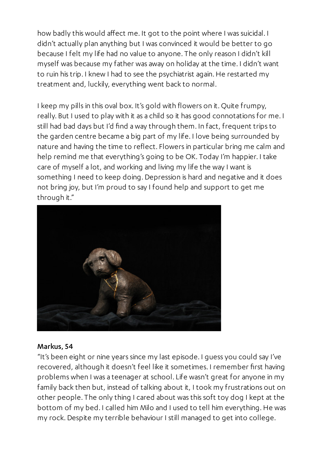how badly this would affect me. It got to the point where I was suicidal. I didn't actually plan anything but I was convinced it would be better to go because I felt my life had no value to anyone. The only reason I didn't kill myself was because my father was away on holiday at the time. I didn't want to ruin his trip. I knew I had to see the psychiatrist again.He restarted my treatment and, luckily, everything went back to normal.

I keep my pills in this oval box. It's gold with flowers on it. Quite frumpy, really. But I used to play with it as a child so it has good connotations for me. I still had bad days but I'd find a way through them. In fact, frequent trips to the garden centre became a big part of my life. I love being surrounded by nature and having the time to reflect. Flowers in particular bring me calm and help remind me that everything's going to be OK. Today I'm happier. I take care of myself a lot, and working and living my life the way I want is something I need to keep doing. Depression is hard and negative and it does not bring joy, but I'm proud to say I found help and support to get me through it."



#### Markus, 54

"It's been eight or nine years since my last episode. I guess you could say I've recovered, although it doesn't feel like it sometimes. I remember first having problems when I was a teenager at school. Life wasn't great for anyone in my family back then but, instead of talking about it, I took my frustrations out on other people. The only thing I cared about was this soft toy dog I kept at the bottom of my bed. I called him Milo and I used to tell him everything.He was my rock. Despite my terrible behaviour I still managed to get into college.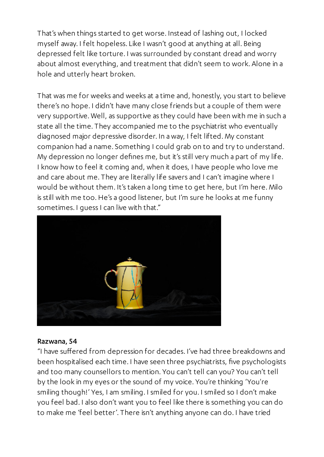That's when things started to get worse. Instead of lashing out, I locked myself away. I felt hopeless. Like I wasn't good at anything at all. Being depressed felt like torture. I was surrounded by constant dread and worry about almost everything, and treatment that didn't seem to work. Alone in a hole and utterly heart broken.

That was me for weeks and weeks at a time and, honestly, you start to believe there's no hope. I didn't have many close friends but a couple of them were very supportive. Well, as supportive as they could have been with me in such a state all the time. They accompanied me to the psychiatrist who eventually diagnosed major depressive disorder. In a way, I felt lifted. My constant companion had a name. Something I could grab on to and try to understand. My depression no longer defines me, but it's still very much a part of my life. I know how to feel it coming and, when it does, I have people who love me and care about me. They are literally life savers and I can't imagine where I would be without them. It's taken a long time to get here, but I'm here. Milo is still with me too.He's a good listener, but I'm sure he looks at me funny sometimes. I guess I can live with that."



#### Razwana, 54

"I have suffered from depression for decades. I've had three breakdowns and been hospitalised each time. I have seen three psychiatrists, five psychologists and too many counsellors to mention. You can't tell can you? You can't tell by the look in my eyes or the sound of my voice. You're thinking 'You're smiling though!' Yes, I am smiling. I smiled for you. I smiled so I don't make you feel bad. I also don't want you to feel like there is something you can do to make me 'feel better'. There isn't anything anyone can do. I have tried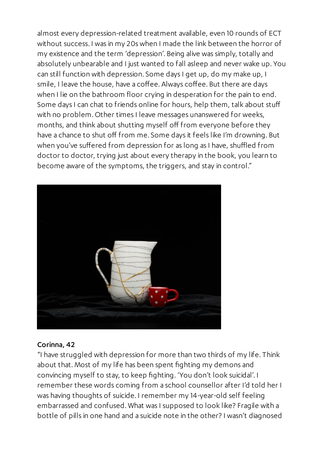almost every depression-related treatment available, even 10 rounds of ECT without success. I was in my 20s when I made the link between the horror of my existence and the term 'depression'. Being alive was simply, totally and absolutely unbearable and I just wanted to fall asleep and never wake up. You can still function with depression. Some days I get up, do my make up, I smile, I leave the house, have a coffee. Always coffee. But there are days when I lie on the bathroom floor crying in desperation for the pain to end. Some days I can chat to friends online for hours, help them, talk about stuff with no problem. Other times I leave messages unanswered for weeks, months, and think about shutting myself off from everyone before they have a chance to shut off from me. Some days it feels like I'm drowning. But when you've suffered from depression for as long as I have, shuffled from doctor to doctor, trying just about every therapy in the book, you learn to become aware of the symptoms, the triggers, and stay in control."



#### Corinna, 42

"I have struggled with depression for more than two thirds of my life. Think about that. Most of my life has been spent fighting my demons and convincing myself to stay, to keep fighting. 'You don't look suicidal'. I remember these words coming from a school counsellor after I'd told her I was having thoughts of suicide. I remember my 14-year-old self feeling embarrassed and confused. What was I supposed to look like? Fragile with a bottle of pills in one hand and a suicide note in the other? I wasn't diagnosed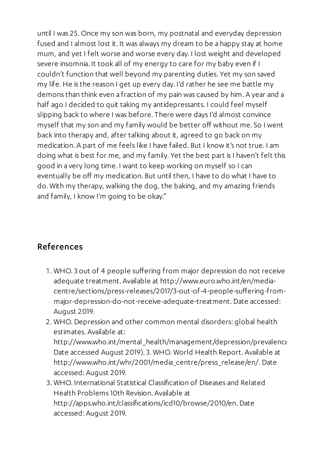until I was 25. Once my son was born, my postnatal and everyday depression fused and I almost lost it. It was always my dream to be a happy stay at home mum, and yet I felt worse and worse every day. I lost weight and developed severe insomnia. It took all of my energy to care for my baby even if I couldn't function that well beyond my parenting duties. Yet my son saved my life.He is the reason I get up every day. I'd rather he see me battle my demons than think even a fraction of my pain was caused by him. A year and a half ago I decided to quit taking my antidepressants. I could feel myself slipping back to where I was before. There were days I'd almost convince myself that my son and my family would be better off without me. So I went back into therapy and, after talking about it, agreed to go back on my medication. A part of me feels like I have failed. But I know it's not true. I am doing what is best for me, and my family. Yet the best part is I haven't felt this good in a very long time. I want to keep working on myself so I can eventually be off my medication. But until then, I have to do what I have to do. With my therapy, walking the dog, the baking, and my amazing friends and family, I know I'm going to be okay."

### References

- . WHO.3 out of 4 people suffering from major depression do not receive adequate treatment. Available at http://www.euro.who.int/en/mediacentre/sections/press-releases/2017/3-out-of-4-people-suffering-frommajor-depression-do-not-receive-adequate-treatment. Date accessed: August 2019.
- . WHO. Depression and other common mental disorders: global health estimates. Available at: http://www.who.int/mental\_health/management/depression/prevalence Date accessed August 2019).3. WHO. World Health Report. Available at http://www.who.int/whr/2001/media\_centre/press\_release/en/. Date accessed: August 2019.
- . WHO. International Statistical Classification of Diseases and Related Health Problems 10th Revision. Available at http://apps.who.int/classifications/icd10/browse/2010/en. Date accessed: August 2019.